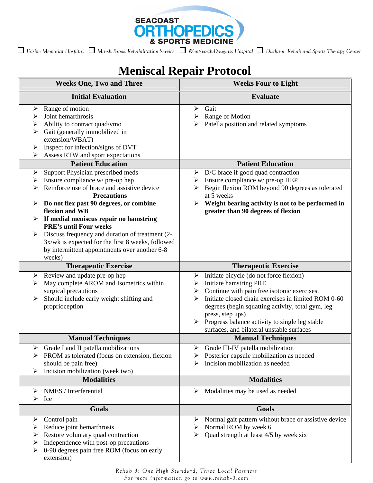

 *Frisbie Memorial Hospital Marsh Brook Rehabilitation Service Wentworth-Douglass Hospital Durham: Rehab and Sports Therapy Center*

# **Meniscal Repair Protocol**

| <b>Weeks One, Two and Three</b>                                                                                                                                                                                                                                                                                                                                                                                                                                                                           | <b>Weeks Four to Eight</b>                                                                                                                                                                                                                                                                                                                                               |
|-----------------------------------------------------------------------------------------------------------------------------------------------------------------------------------------------------------------------------------------------------------------------------------------------------------------------------------------------------------------------------------------------------------------------------------------------------------------------------------------------------------|--------------------------------------------------------------------------------------------------------------------------------------------------------------------------------------------------------------------------------------------------------------------------------------------------------------------------------------------------------------------------|
| <b>Initial Evaluation</b>                                                                                                                                                                                                                                                                                                                                                                                                                                                                                 | <b>Evaluate</b>                                                                                                                                                                                                                                                                                                                                                          |
| Range of motion<br>➤<br>Joint hemarthrosis<br>➤<br>Ability to contract quad/vmo<br>➤<br>Gait (generally immobilized in<br>➤<br>extension/WBAT)<br>Inspect for infection/signs of DVT<br>➤<br>Assess RTW and sport expectations<br>➤                                                                                                                                                                                                                                                                       | Gait<br>➤<br>Range of Motion<br>➤<br>Patella position and related symptoms<br>⋗                                                                                                                                                                                                                                                                                          |
| <b>Patient Education</b><br>Support Physician prescribed meds<br>➤<br>Ensure compliance w/ pre-op hep<br>➤<br>Reinforce use of brace and assistive device<br>➤<br><b>Precautions</b><br>Do not flex past 90 degrees, or combine<br>➤<br>flexion and WB<br>If medial meniscus repair no hamstring<br>➤<br><b>PRE's until Four weeks</b><br>Discuss frequency and duration of treatment (2-<br>3x/wk is expected for the first 8 weeks, followed<br>by intermittent appointments over another 6-8<br>weeks) | <b>Patient Education</b><br>$\triangleright$ D/C brace if good quad contraction<br>Ensure compliance w/ pre-op HEP<br>➤<br>Begin flexion ROM beyond 90 degrees as tolerated<br>➤<br>at 5 weeks<br>Weight bearing activity is not to be performed in<br>➤<br>greater than 90 degrees of flexion                                                                           |
| <b>Therapeutic Exercise</b>                                                                                                                                                                                                                                                                                                                                                                                                                                                                               | <b>Therapeutic Exercise</b>                                                                                                                                                                                                                                                                                                                                              |
| Review and update pre-op hep<br>➤<br>May complete AROM and Isometrics within<br>➤<br>surgical precautions<br>Should include early weight shifting and<br>➤<br>proprioception                                                                                                                                                                                                                                                                                                                              | Initiate bicycle (do not force flexion)<br>➤<br>Initiate hamstring PRE<br>➤<br>Continue with pain free isotonic exercises.<br>➤<br>Initiate closed chain exercises in limited ROM 0-60<br>⋗<br>degrees (begin squatting activity, total gym, leg<br>press, step ups)<br>Progress balance activity to single leg stable<br>➤<br>surfaces, and bilateral unstable surfaces |
| <b>Manual Techniques</b>                                                                                                                                                                                                                                                                                                                                                                                                                                                                                  | <b>Manual Techniques</b>                                                                                                                                                                                                                                                                                                                                                 |
| $\triangleright$ Grade I and II patella mobilizations<br>PROM as tolerated (focus on extension, flexion<br>should be pain free)<br>Incision mobilization (week two)                                                                                                                                                                                                                                                                                                                                       | Grade III-IV patella mobilization<br>➤<br>Posterior capsule mobilization as needed<br>Incision mobilization as needed                                                                                                                                                                                                                                                    |
| <b>Modalities</b>                                                                                                                                                                                                                                                                                                                                                                                                                                                                                         | <b>Modalities</b>                                                                                                                                                                                                                                                                                                                                                        |
| NMES / Interferential<br>➤<br>⋗<br>Ice                                                                                                                                                                                                                                                                                                                                                                                                                                                                    | Modalities may be used as needed<br>➤                                                                                                                                                                                                                                                                                                                                    |
| <b>Goals</b>                                                                                                                                                                                                                                                                                                                                                                                                                                                                                              | Goals                                                                                                                                                                                                                                                                                                                                                                    |
| Control pain<br>➤<br>Reduce joint hemarthrosis<br>⋗<br>Restore voluntary quad contraction<br>⋗<br>Independence with post-op precautions<br>➤<br>0-90 degrees pain free ROM (focus on early<br>extension)                                                                                                                                                                                                                                                                                                  | Normal gait pattern without brace or assistive device<br>➤<br>Normal ROM by week 6<br>➤<br>Quad strength at least 4/5 by week six<br>➤                                                                                                                                                                                                                                   |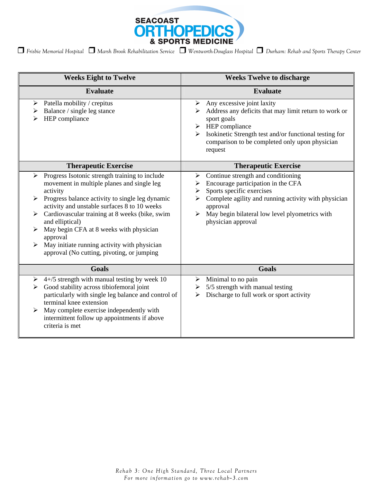

| <b>Weeks Eight to Twelve</b>                                                                                                                                                                                                                                                                                                                                                                                                                                             | <b>Weeks Twelve to discharge</b>                                                                                                                                                                                                                                                                                   |
|--------------------------------------------------------------------------------------------------------------------------------------------------------------------------------------------------------------------------------------------------------------------------------------------------------------------------------------------------------------------------------------------------------------------------------------------------------------------------|--------------------------------------------------------------------------------------------------------------------------------------------------------------------------------------------------------------------------------------------------------------------------------------------------------------------|
| <b>Evaluate</b>                                                                                                                                                                                                                                                                                                                                                                                                                                                          | <b>Evaluate</b>                                                                                                                                                                                                                                                                                                    |
| Patella mobility / crepitus<br>➤<br>Balance / single leg stance<br>➤<br>HEP compliance<br>⋗                                                                                                                                                                                                                                                                                                                                                                              | Any excessive joint laxity<br>➤<br>Address any deficits that may limit return to work or<br>sport goals<br>$\triangleright$ HEP compliance<br>Isokinetic Strength test and/or functional testing for<br>≻<br>comparison to be completed only upon physician<br>request                                             |
| <b>Therapeutic Exercise</b>                                                                                                                                                                                                                                                                                                                                                                                                                                              | <b>Therapeutic Exercise</b>                                                                                                                                                                                                                                                                                        |
| Progress Isotonic strength training to include<br>≻<br>movement in multiple planes and single leg<br>activity<br>Progress balance activity to single leg dynamic<br>↘<br>activity and unstable surfaces 8 to 10 weeks<br>Cardiovascular training at 8 weeks (bike, swim<br>and elliptical)<br>May begin CFA at 8 weeks with physician<br>approval<br>May initiate running activity with physician<br>$\blacktriangleright$<br>approval (No cutting, pivoting, or jumping | Continue strength and conditioning<br>➤<br>Encourage participation in the CFA<br>➤<br>Sports specific exercises<br>$\blacktriangleright$<br>Complete agility and running activity with physician<br>➤<br>approval<br>May begin bilateral low level plyometrics with<br>$\blacktriangleright$<br>physician approval |
| <b>Goals</b>                                                                                                                                                                                                                                                                                                                                                                                                                                                             | <b>Goals</b>                                                                                                                                                                                                                                                                                                       |
| $4+/5$ strength with manual testing by week 10<br>➤<br>Good stability across tibiofemoral joint<br>➤<br>particularly with single leg balance and control of<br>terminal knee extension<br>May complete exercise independently with<br>➤<br>intermittent follow up appointments if above<br>criteria is met                                                                                                                                                               | Minimal to no pain<br>➤<br>5/5 strength with manual testing<br>➤<br>Discharge to full work or sport activity<br>➤                                                                                                                                                                                                  |